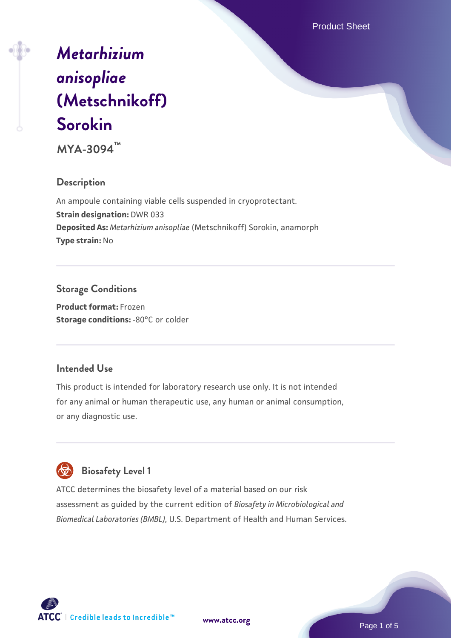Product Sheet

# *[Metarhizium](https://www.atcc.org/products/mya-3094) [anisopliae](https://www.atcc.org/products/mya-3094)* **[\(Metschnikoff\)](https://www.atcc.org/products/mya-3094) [Sorokin](https://www.atcc.org/products/mya-3094)**

**MYA-3094™**

#### **Description**

An ampoule containing viable cells suspended in cryoprotectant. **Strain designation:** DWR 033 **Deposited As:** *Metarhizium anisopliae* (Metschnikoff) Sorokin, anamorph **Type strain:** No

#### **Storage Conditions**

**Product format:** Frozen **Storage conditions: -80°C** or colder

#### **Intended Use**

This product is intended for laboratory research use only. It is not intended for any animal or human therapeutic use, any human or animal consumption, or any diagnostic use.

## **Biosafety Level 1**

ATCC determines the biosafety level of a material based on our risk assessment as guided by the current edition of *Biosafety in Microbiological and Biomedical Laboratories (BMBL)*, U.S. Department of Health and Human Services.

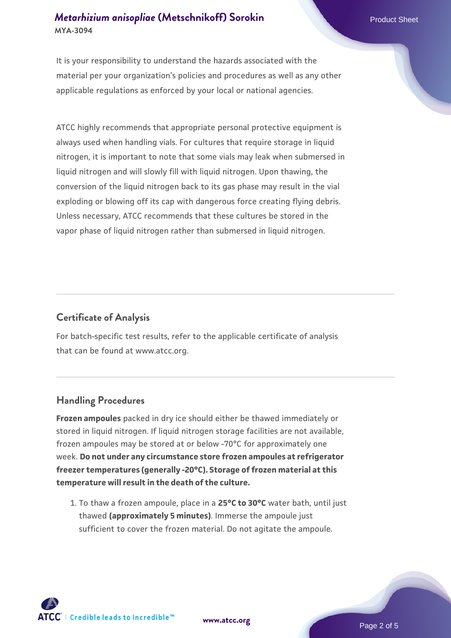#### *[Metarhizium anisopliae](https://www.atcc.org/products/mya-3094)* [\(Metschnikoff\) Sorokin](https://www.atcc.org/products/mya-3094) **MYA-3094**

It is your responsibility to understand the hazards associated with the material per your organization's policies and procedures as well as any other applicable regulations as enforced by your local or national agencies.

ATCC highly recommends that appropriate personal protective equipment is always used when handling vials. For cultures that require storage in liquid nitrogen, it is important to note that some vials may leak when submersed in liquid nitrogen and will slowly fill with liquid nitrogen. Upon thawing, the conversion of the liquid nitrogen back to its gas phase may result in the vial exploding or blowing off its cap with dangerous force creating flying debris. Unless necessary, ATCC recommends that these cultures be stored in the vapor phase of liquid nitrogen rather than submersed in liquid nitrogen.

#### **Certificate of Analysis**

For batch-specific test results, refer to the applicable certificate of analysis that can be found at www.atcc.org.

#### **Handling Procedures**

**Frozen ampoules** packed in dry ice should either be thawed immediately or stored in liquid nitrogen. If liquid nitrogen storage facilities are not available, frozen ampoules may be stored at or below -70°C for approximately one week. **Do not under any circumstance store frozen ampoules at refrigerator freezer temperatures (generally -20°C). Storage of frozen material at this temperature will result in the death of the culture.**

1. To thaw a frozen ampoule, place in a **25°C to 30°C** water bath, until just thawed **(approximately 5 minutes)**. Immerse the ampoule just sufficient to cover the frozen material. Do not agitate the ampoule.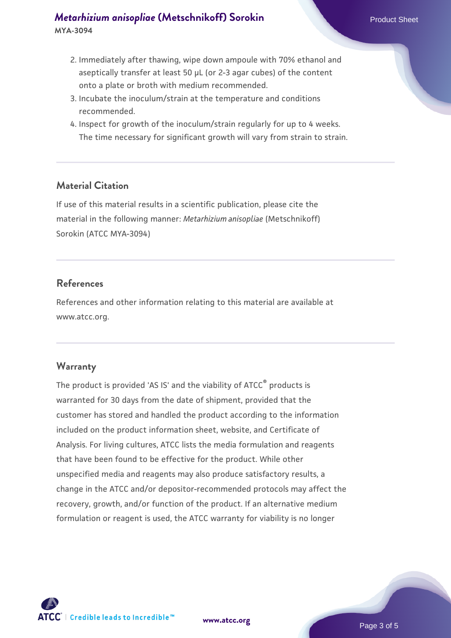#### *[Metarhizium anisopliae](https://www.atcc.org/products/mya-3094)* [\(Metschnikoff\) Sorokin](https://www.atcc.org/products/mya-3094) **MYA-3094**

- 2. Immediately after thawing, wipe down ampoule with 70% ethanol and aseptically transfer at least 50 µL (or 2-3 agar cubes) of the content onto a plate or broth with medium recommended.
- 3. Incubate the inoculum/strain at the temperature and conditions recommended.
- 4. Inspect for growth of the inoculum/strain regularly for up to 4 weeks. The time necessary for significant growth will vary from strain to strain.

#### **Material Citation**

If use of this material results in a scientific publication, please cite the material in the following manner: *Metarhizium anisopliae* (Metschnikoff) Sorokin (ATCC MYA-3094)

#### **References**

References and other information relating to this material are available at www.atcc.org.

#### **Warranty**

The product is provided 'AS IS' and the viability of ATCC® products is warranted for 30 days from the date of shipment, provided that the customer has stored and handled the product according to the information included on the product information sheet, website, and Certificate of Analysis. For living cultures, ATCC lists the media formulation and reagents that have been found to be effective for the product. While other unspecified media and reagents may also produce satisfactory results, a change in the ATCC and/or depositor-recommended protocols may affect the recovery, growth, and/or function of the product. If an alternative medium formulation or reagent is used, the ATCC warranty for viability is no longer



**[www.atcc.org](http://www.atcc.org)**

Page 3 of 5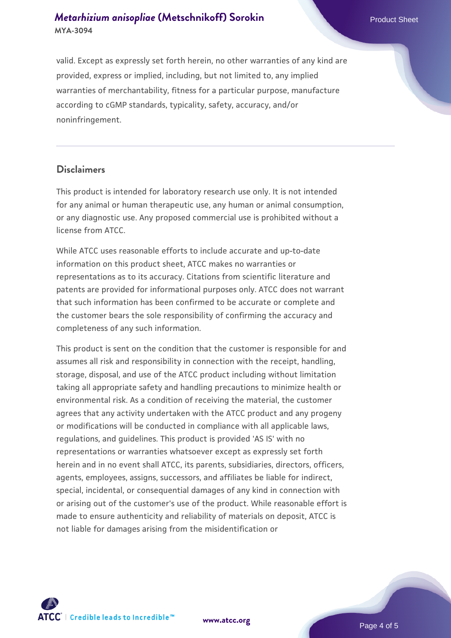valid. Except as expressly set forth herein, no other warranties of any kind are provided, express or implied, including, but not limited to, any implied warranties of merchantability, fitness for a particular purpose, manufacture according to cGMP standards, typicality, safety, accuracy, and/or noninfringement.

#### **Disclaimers**

This product is intended for laboratory research use only. It is not intended for any animal or human therapeutic use, any human or animal consumption, or any diagnostic use. Any proposed commercial use is prohibited without a license from ATCC.

While ATCC uses reasonable efforts to include accurate and up-to-date information on this product sheet, ATCC makes no warranties or representations as to its accuracy. Citations from scientific literature and patents are provided for informational purposes only. ATCC does not warrant that such information has been confirmed to be accurate or complete and the customer bears the sole responsibility of confirming the accuracy and completeness of any such information.

This product is sent on the condition that the customer is responsible for and assumes all risk and responsibility in connection with the receipt, handling, storage, disposal, and use of the ATCC product including without limitation taking all appropriate safety and handling precautions to minimize health or environmental risk. As a condition of receiving the material, the customer agrees that any activity undertaken with the ATCC product and any progeny or modifications will be conducted in compliance with all applicable laws, regulations, and guidelines. This product is provided 'AS IS' with no representations or warranties whatsoever except as expressly set forth herein and in no event shall ATCC, its parents, subsidiaries, directors, officers, agents, employees, assigns, successors, and affiliates be liable for indirect, special, incidental, or consequential damages of any kind in connection with or arising out of the customer's use of the product. While reasonable effort is made to ensure authenticity and reliability of materials on deposit, ATCC is not liable for damages arising from the misidentification or